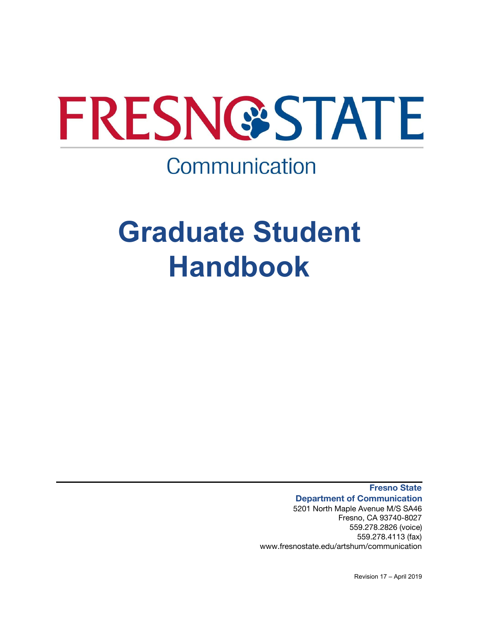

# Communication

# **Graduate Student Handbook**

**Fresno State Department of Communication** 5201 North Maple Avenue M/S SA46 Fresno, CA 93740-8027 559.278.2826 (voice) 559.278.4113 (fax)

www.fresnostate.edu/artshum/communication

Revision 17 – April 2019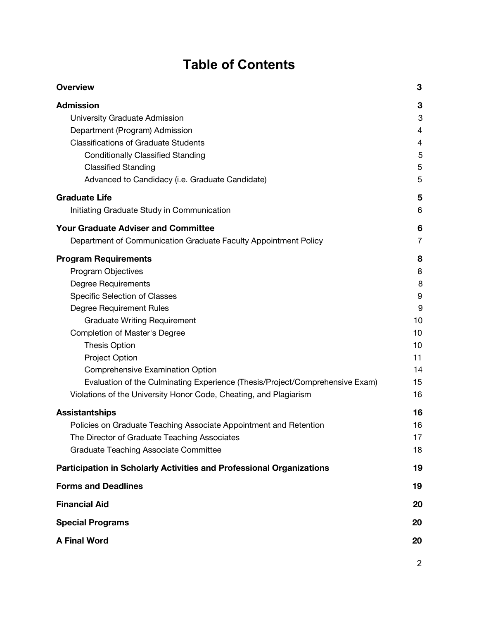# **Table of Contents**

| <b>Overview</b>                                                              | 3              |
|------------------------------------------------------------------------------|----------------|
| <b>Admission</b>                                                             | 3              |
| University Graduate Admission                                                | 3              |
| Department (Program) Admission                                               | 4              |
| <b>Classifications of Graduate Students</b>                                  | 4              |
| <b>Conditionally Classified Standing</b>                                     | 5              |
| <b>Classified Standing</b>                                                   | 5              |
| Advanced to Candidacy (i.e. Graduate Candidate)                              | 5              |
| <b>Graduate Life</b>                                                         | 5              |
| Initiating Graduate Study in Communication                                   | 6              |
| <b>Your Graduate Adviser and Committee</b>                                   | 6              |
| Department of Communication Graduate Faculty Appointment Policy              | $\overline{7}$ |
| <b>Program Requirements</b>                                                  | 8              |
| Program Objectives                                                           | 8              |
| <b>Degree Requirements</b>                                                   | 8              |
| Specific Selection of Classes                                                | 9              |
| Degree Requirement Rules                                                     | 9              |
| <b>Graduate Writing Requirement</b>                                          | 10             |
| Completion of Master's Degree                                                | 10             |
| <b>Thesis Option</b>                                                         | 10             |
| <b>Project Option</b>                                                        | 11             |
| <b>Comprehensive Examination Option</b>                                      | 14             |
| Evaluation of the Culminating Experience (Thesis/Project/Comprehensive Exam) | 15             |
| Violations of the University Honor Code, Cheating, and Plagiarism            | 16             |
| <b>Assistantships</b>                                                        | 16             |
| Policies on Graduate Teaching Associate Appointment and Retention            | 16             |
| The Director of Graduate Teaching Associates                                 | 17             |
| <b>Graduate Teaching Associate Committee</b>                                 | 18             |
| <b>Participation in Scholarly Activities and Professional Organizations</b>  | 19             |
| <b>Forms and Deadlines</b>                                                   | 19             |
| <b>Financial Aid</b>                                                         | 20             |
| <b>Special Programs</b>                                                      |                |
|                                                                              |                |
| <b>A Final Word</b>                                                          | 20             |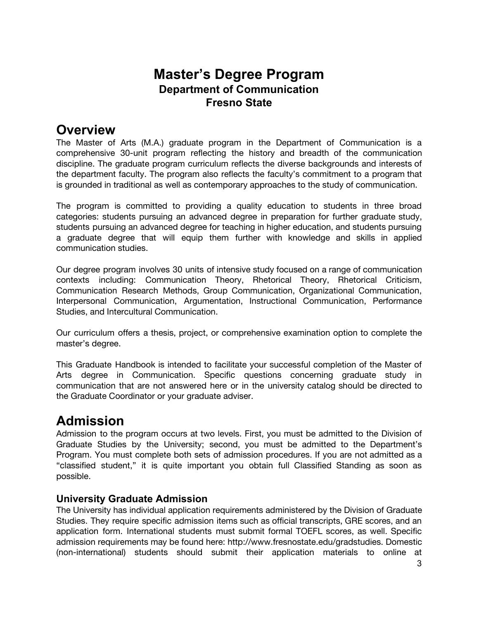## **Master's Degree Program Department of Communication Fresno State**

# <span id="page-2-0"></span>**Overview**

The Master of Arts (M.A.) graduate program in the Department of Communication is a comprehensive 30-unit program reflecting the history and breadth of the communication discipline. The graduate program curriculum reflects the diverse backgrounds and interests of the department faculty. The program also reflects the faculty's commitment to a program that is grounded in traditional as well as contemporary approaches to the study of communication.

The program is committed to providing a quality education to students in three broad categories: students pursuing an advanced degree in preparation for further graduate study, students pursuing an advanced degree for teaching in higher education, and students pursuing a graduate degree that will equip them further with knowledge and skills in applied communication studies.

Our degree program involves 30 units of intensive study focused on a range of communication contexts including: Communication Theory, Rhetorical Theory, Rhetorical Criticism, Communication Research Methods, Group Communication, Organizational Communication, Interpersonal Communication, Argumentation, Instructional Communication, Performance Studies, and Intercultural Communication.

Our curriculum offers a thesis, project, or comprehensive examination option to complete the master's degree.

This Graduate Handbook is intended to facilitate your successful completion of the Master of Arts degree in Communication. Specific questions concerning graduate study in communication that are not answered here or in the university catalog should be directed to the Graduate Coordinator or your graduate adviser.

# <span id="page-2-1"></span>**Admission**

Admission to the program occurs at two levels. First, you must be admitted to the Division of Graduate Studies by the University; second, you must be admitted to the Department's Program. You must complete both sets of admission procedures. If you are not admitted as a "classified student," it is quite important you obtain full Classified Standing as soon as possible.

#### <span id="page-2-2"></span>**University Graduate Admission**

The University has individual application requirements administered by the Division of Graduate Studies. They require specific admission items such as official transcripts, GRE scores, and an application form. International students must submit formal TOEFL scores, as well. Specific admission requirements may be found here: http://www.fresnostate.edu/gradstudies. Domestic (non-international) students should submit their application materials to online at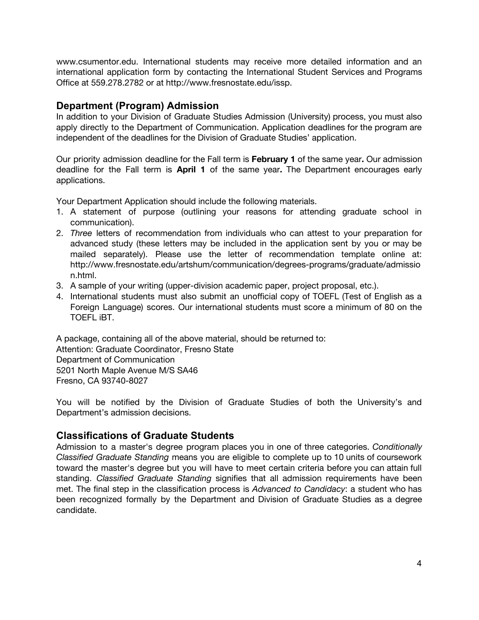www.csumentor.edu. International students may receive more detailed information and an international application form by contacting the International Student Services and Programs Office at 559.278.2782 or at http://www.fresnostate.edu/issp.

#### <span id="page-3-0"></span>**Department (Program) Admission**

In addition to your Division of Graduate Studies Admission (University) process, you must also apply directly to the Department of Communication. Application deadlines for the program are independent of the deadlines for the Division of Graduate Studies' application.

Our priority admission deadline for the Fall term is **February 1** of the same year**.** Our admission deadline for the Fall term is **April 1** of the same year**.** The Department encourages early applications.

Your Department Application should include the following materials.

- 1. A statement of purpose (outlining your reasons for attending graduate school in communication).
- 2. *Three* letters of recommendation from individuals who can attest to your preparation for advanced study (these letters may be included in the application sent by you or may be mailed separately). Please use the letter of recommendation template online at: http://www.fresnostate.edu/artshum/communication/degrees-programs/graduate/admissio n.html.
- 3. A sample of your writing (upper-division academic paper, project proposal, etc.).
- 4. International students must also submit an unofficial copy of TOEFL (Test of English as a Foreign Language) scores. Our international students must score a minimum of 80 on the TOEFL iBT.

A package, containing all of the above material, should be returned to: Attention: Graduate Coordinator, Fresno State Department of Communication 5201 North Maple Avenue M/S SA46 Fresno, CA 93740-8027

You will be notified by the Division of Graduate Studies of both the University's and Department's admission decisions.

#### <span id="page-3-1"></span>**Classifications of Graduate Students**

Admission to a master's degree program places you in one of three categories. *Conditionally Classified Graduate Standing* means you are eligible to complete up to 10 units of coursework toward the master's degree but you will have to meet certain criteria before you can attain full standing. *Classified Graduate Standing* signifies that all admission requirements have been met. The final step in the classification process is *Advanced to Candidacy*: a student who has been recognized formally by the Department and Division of Graduate Studies as a degree candidate.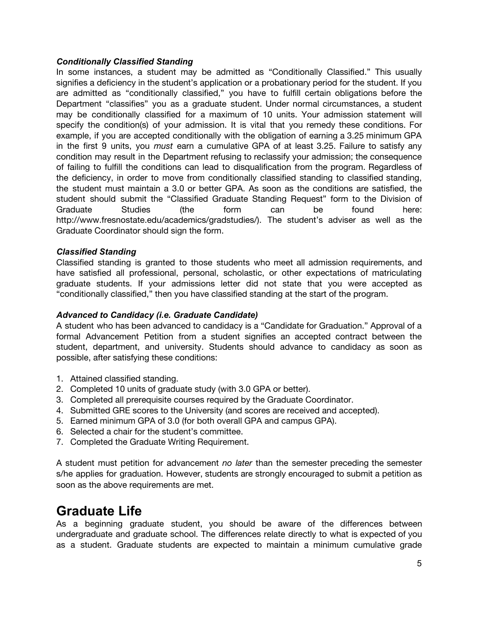#### <span id="page-4-0"></span>*Conditionally Classified Standing*

In some instances, a student may be admitted as "Conditionally Classified." This usually signifies a deficiency in the student's application or a probationary period for the student. If you are admitted as "conditionally classified," you have to fulfill certain obligations before the Department "classifies" you as a graduate student. Under normal circumstances, a student may be conditionally classified for a maximum of 10 units. Your admission statement will specify the condition(s) of your admission. It is vital that you remedy these conditions. For example, if you are accepted conditionally with the obligation of earning a 3.25 minimum GPA in the first 9 units, you *must* earn a cumulative GPA of at least 3.25. Failure to satisfy any condition may result in the Department refusing to reclassify your admission; the consequence of failing to fulfill the conditions can lead to disqualification from the program. Regardless of the deficiency, in order to move from conditionally classified standing to classified standing, the student must maintain a 3.0 or better GPA. As soon as the conditions are satisfied, the student should submit the "Classified Graduate Standing Request" form to the Division of Graduate Studies (the form can be found here: http://www.fresnostate.edu/academics/gradstudies/). The student's adviser as well as the Graduate Coordinator should sign the form.

#### <span id="page-4-1"></span>*Classified Standing*

Classified standing is granted to those students who meet all admission requirements, and have satisfied all professional, personal, scholastic, or other expectations of matriculating graduate students. If your admissions letter did not state that you were accepted as "conditionally classified," then you have classified standing at the start of the program.

#### <span id="page-4-2"></span>*Advanced to Candidacy (i.e. Graduate Candidate)*

A student who has been advanced to candidacy is a "Candidate for Graduation." Approval of a formal Advancement Petition from a student signifies an accepted contract between the student, department, and university. Students should advance to candidacy as soon as possible, after satisfying these conditions:

- 1. Attained classified standing.
- 2. Completed 10 units of graduate study (with 3.0 GPA or better).
- 3. Completed all prerequisite courses required by the Graduate Coordinator.
- 4. Submitted GRE scores to the University (and scores are received and accepted).
- 5. Earned minimum GPA of 3.0 (for both overall GPA and campus GPA).
- 6. Selected a chair for the student's committee.
- 7. Completed the Graduate Writing Requirement.

A student must petition for advancement *no later* than the semester preceding the semester s/he applies for graduation. However, students are strongly encouraged to submit a petition as soon as the above requirements are met.

### <span id="page-4-3"></span>**Graduate Life**

As a beginning graduate student, you should be aware of the differences between undergraduate and graduate school. The differences relate directly to what is expected of you as a student. Graduate students are expected to maintain a minimum cumulative grade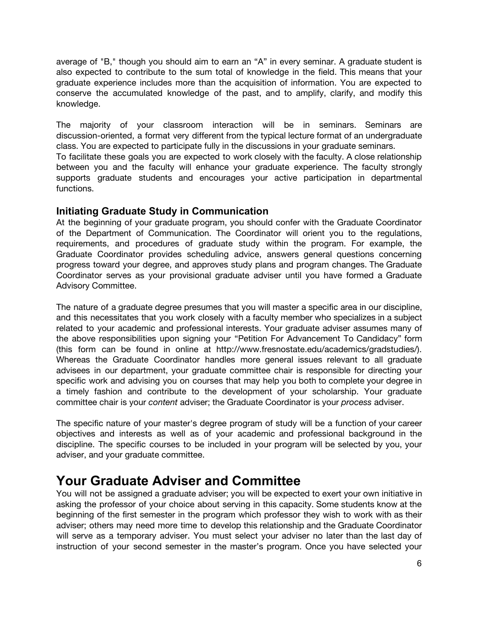average of "B," though you should aim to earn an "A" in every seminar. A graduate student is also expected to contribute to the sum total of knowledge in the field. This means that your graduate experience includes more than the acquisition of information. You are expected to conserve the accumulated knowledge of the past, and to amplify, clarify, and modify this knowledge.

The majority of your classroom interaction will be in seminars. Seminars are discussion-oriented, a format very different from the typical lecture format of an undergraduate class. You are expected to participate fully in the discussions in your graduate seminars.

To facilitate these goals you are expected to work closely with the faculty. A close relationship between you and the faculty will enhance your graduate experience. The faculty strongly supports graduate students and encourages your active participation in departmental functions.

#### <span id="page-5-0"></span>**Initiating Graduate Study in Communication**

At the beginning of your graduate program, you should confer with the Graduate Coordinator of the Department of Communication. The Coordinator will orient you to the regulations, requirements, and procedures of graduate study within the program. For example, the Graduate Coordinator provides scheduling advice, answers general questions concerning progress toward your degree, and approves study plans and program changes. The Graduate Coordinator serves as your provisional graduate adviser until you have formed a Graduate Advisory Committee.

The nature of a graduate degree presumes that you will master a specific area in our discipline, and this necessitates that you work closely with a faculty member who specializes in a subject related to your academic and professional interests. Your graduate adviser assumes many of the above responsibilities upon signing your "Petition For Advancement To Candidacy" form (this form can be found in online at http://www.fresnostate.edu/academics/gradstudies/). Whereas the Graduate Coordinator handles more general issues relevant to all graduate advisees in our department, your graduate committee chair is responsible for directing your specific work and advising you on courses that may help you both to complete your degree in a timely fashion and contribute to the development of your scholarship. Your graduate committee chair is your *content* adviser; the Graduate Coordinator is your *process* adviser.

The specific nature of your master's degree program of study will be a function of your career objectives and interests as well as of your academic and professional background in the discipline. The specific courses to be included in your program will be selected by you, your adviser, and your graduate committee.

# <span id="page-5-1"></span>**Your Graduate Adviser and Committee**

You will not be assigned a graduate adviser; you will be expected to exert your own initiative in asking the professor of your choice about serving in this capacity. Some students know at the beginning of the first semester in the program which professor they wish to work with as their adviser; others may need more time to develop this relationship and the Graduate Coordinator will serve as a temporary adviser. You must select your adviser no later than the last day of instruction of your second semester in the master's program. Once you have selected your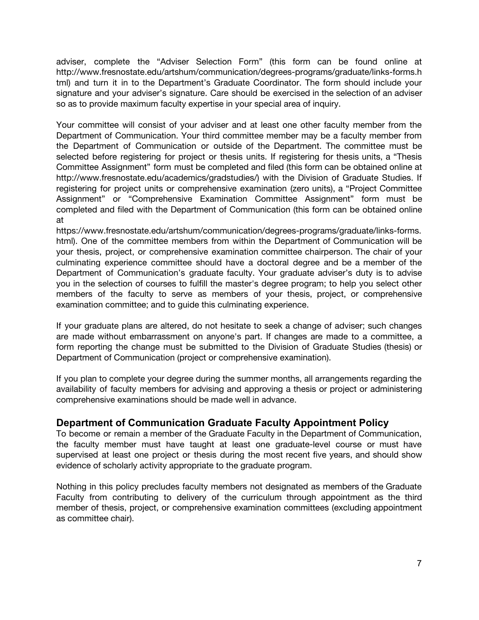adviser, complete the "Adviser Selection Form" (this form can be found online at http://www.fresnostate.edu/artshum/communication/degrees-programs/graduate/links-forms.h tml) and turn it in to the Department's Graduate Coordinator. The form should include your signature and your adviser's signature. Care should be exercised in the selection of an adviser so as to provide maximum faculty expertise in your special area of inquiry.

Your committee will consist of your adviser and at least one other faculty member from the Department of Communication. Your third committee member may be a faculty member from the Department of Communication or outside of the Department. The committee must be selected before registering for project or thesis units. If registering for thesis units, a "Thesis Committee Assignment" form must be completed and filed (this form can be obtained online at http://www.fresnostate.edu/academics/gradstudies/) with the Division of Graduate Studies. If registering for project units or comprehensive examination (zero units), a "Project Committee Assignment" or "Comprehensive Examination Committee Assignment" form must be completed and filed with the Department of Communication (this form can be obtained online at

https://www.fresnostate.edu/artshum/communication/degrees-programs/graduate/links-forms. html). One of the committee members from within the Department of Communication will be your thesis, project, or comprehensive examination committee chairperson. The chair of your culminating experience committee should have a doctoral degree and be a member of the Department of Communication's graduate faculty. Your graduate adviser's duty is to advise you in the selection of courses to fulfill the master's degree program; to help you select other members of the faculty to serve as members of your thesis, project, or comprehensive examination committee; and to guide this culminating experience.

If your graduate plans are altered, do not hesitate to seek a change of adviser; such changes are made without embarrassment on anyone's part. If changes are made to a committee, a form reporting the change must be submitted to the Division of Graduate Studies (thesis) or Department of Communication (project or comprehensive examination).

If you plan to complete your degree during the summer months, all arrangements regarding the availability of faculty members for advising and approving a thesis or project or administering comprehensive examinations should be made well in advance.

#### <span id="page-6-0"></span>**Department of Communication Graduate Faculty Appointment Policy**

To become or remain a member of the Graduate Faculty in the Department of Communication, the faculty member must have taught at least one graduate-level course or must have supervised at least one project or thesis during the most recent five years, and should show evidence of scholarly activity appropriate to the graduate program.

Nothing in this policy precludes faculty members not designated as members of the Graduate Faculty from contributing to delivery of the curriculum through appointment as the third member of thesis, project, or comprehensive examination committees (excluding appointment as committee chair).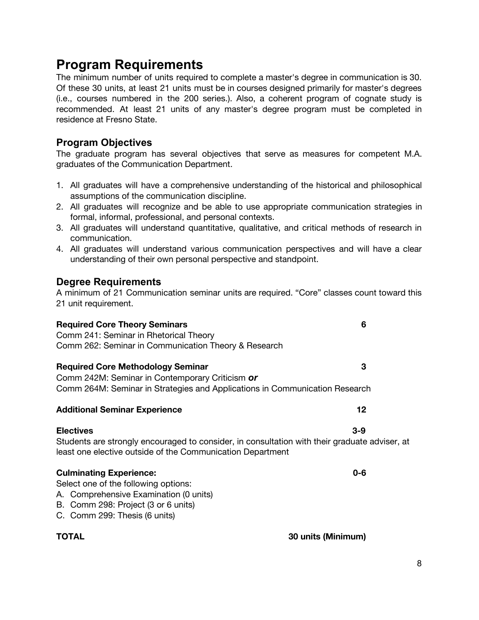# <span id="page-7-0"></span>**Program Requirements**

The minimum number of units required to complete a master's degree in communication is 30. Of these 30 units, at least 21 units must be in courses designed primarily for master's degrees (i.e., courses numbered in the 200 series.). Also, a coherent program of cognate study is recommended. At least 21 units of any master's degree program must be completed in residence at Fresno State.

#### <span id="page-7-1"></span>**Program Objectives**

The graduate program has several objectives that serve as measures for competent M.A. graduates of the Communication Department.

- 1. All graduates will have a comprehensive understanding of the historical and philosophical assumptions of the communication discipline.
- 2. All graduates will recognize and be able to use appropriate communication strategies in formal, informal, professional, and personal contexts.
- 3. All graduates will understand quantitative, qualitative, and critical methods of research in communication.
- 4. All graduates will understand various communication perspectives and will have a clear understanding of their own personal perspective and standpoint.

#### <span id="page-7-2"></span>**Degree Requirements**

A minimum of 21 Communication seminar units are required. "Core" classes count toward this 21 unit requirement.

| <b>Required Core Theory Seminars</b>                                                          | 6                  |
|-----------------------------------------------------------------------------------------------|--------------------|
| Comm 241: Seminar in Rhetorical Theory                                                        |                    |
| Comm 262: Seminar in Communication Theory & Research                                          |                    |
| <b>Required Core Methodology Seminar</b>                                                      | 3                  |
| Comm 242M: Seminar in Contemporary Criticism or                                               |                    |
| Comm 264M: Seminar in Strategies and Applications in Communication Research                   |                    |
| <b>Additional Seminar Experience</b>                                                          | 12                 |
| <b>Electives</b>                                                                              | $3-9$              |
| Students are strongly encouraged to consider, in consultation with their graduate adviser, at |                    |
| least one elective outside of the Communication Department                                    |                    |
| <b>Culminating Experience:</b>                                                                | $0-6$              |
| Select one of the following options:                                                          |                    |
| A. Comprehensive Examination (0 units)                                                        |                    |
| B. Comm 298: Project (3 or 6 units)                                                           |                    |
| C. Comm 299: Thesis (6 units)                                                                 |                    |
| TOTAL                                                                                         | 30 units (Minimum) |
|                                                                                               |                    |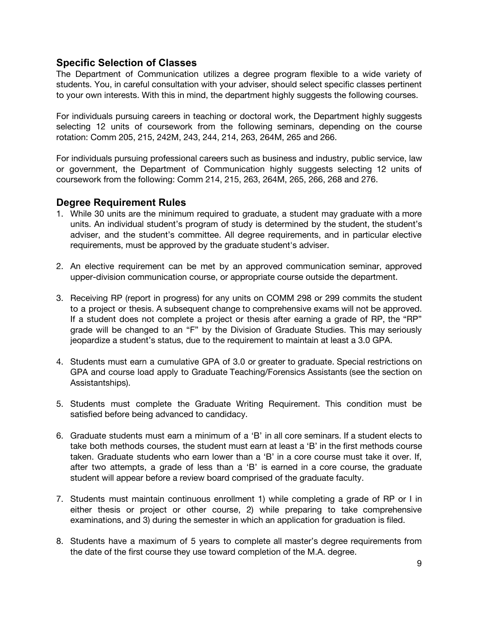#### <span id="page-8-0"></span>**Specific Selection of Classes**

The Department of Communication utilizes a degree program flexible to a wide variety of students. You, in careful consultation with your adviser, should select specific classes pertinent to your own interests. With this in mind, the department highly suggests the following courses.

For individuals pursuing careers in teaching or doctoral work, the Department highly suggests selecting 12 units of coursework from the following seminars, depending on the course rotation: Comm 205, 215, 242M, 243, 244, 214, 263, 264M, 265 and 266.

For individuals pursuing professional careers such as business and industry, public service, law or government, the Department of Communication highly suggests selecting 12 units of coursework from the following: Comm 214, 215, 263, 264M, 265, 266, 268 and 276.

#### <span id="page-8-1"></span>**Degree Requirement Rules**

- 1. While 30 units are the minimum required to graduate, a student may graduate with a more units. An individual student's program of study is determined by the student, the student's adviser, and the student's committee. All degree requirements, and in particular elective requirements, must be approved by the graduate student's adviser.
- 2. An elective requirement can be met by an approved communication seminar, approved upper-division communication course, or appropriate course outside the department.
- 3. Receiving RP (report in progress) for any units on COMM 298 or 299 commits the student to a project or thesis. A subsequent change to comprehensive exams will not be approved. If a student does not complete a project or thesis after earning a grade of RP, the "RP" grade will be changed to an "F" by the Division of Graduate Studies. This may seriously jeopardize a student's status, due to the requirement to maintain at least a 3.0 GPA.
- 4. Students must earn a cumulative GPA of 3.0 or greater to graduate. Special restrictions on GPA and course load apply to Graduate Teaching/Forensics Assistants (see the section on Assistantships).
- 5. Students must complete the Graduate Writing Requirement. This condition must be satisfied before being advanced to candidacy.
- 6. Graduate students must earn a minimum of a 'B' in all core seminars. If a student elects to take both methods courses, the student must earn at least a 'B' in the first methods course taken. Graduate students who earn lower than a 'B' in a core course must take it over. If, after two attempts, a grade of less than a 'B' is earned in a core course, the graduate student will appear before a review board comprised of the graduate faculty.
- 7. Students must maintain continuous enrollment 1) while completing a grade of RP or I in either thesis or project or other course, 2) while preparing to take comprehensive examinations, and 3) during the semester in which an application for graduation is filed.
- 8. Students have a maximum of 5 years to complete all master's degree requirements from the date of the first course they use toward completion of the M.A. degree.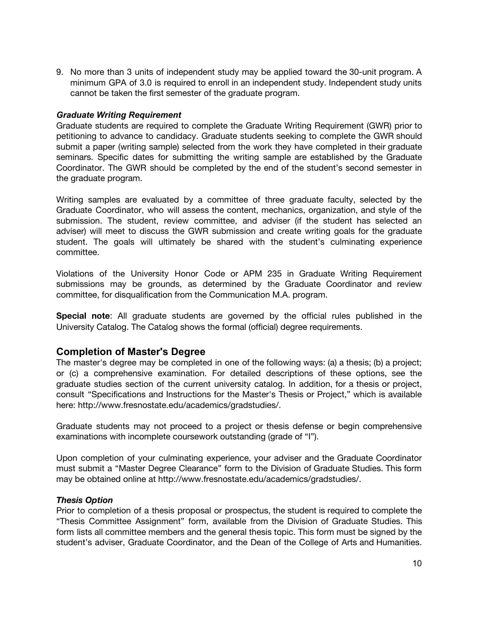9. No more than 3 units of independent study may be applied toward the 30-unit program. A minimum GPA of 3.0 is required to enroll in an independent study. Independent study units cannot be taken the first semester of the graduate program.

#### <span id="page-9-0"></span>*Graduate Writing Requirement*

Graduate students are required to complete the Graduate Writing Requirement (GWR) prior to petitioning to advance to candidacy. Graduate students seeking to complete the GWR should submit a paper (writing sample) selected from the work they have completed in their graduate seminars. Specific dates for submitting the writing sample are established by the Graduate Coordinator. The GWR should be completed by the end of the student's second semester in the graduate program.

Writing samples are evaluated by a committee of three graduate faculty, selected by the Graduate Coordinator, who will assess the content, mechanics, organization, and style of the submission. The student, review committee, and adviser (if the student has selected an adviser) will meet to discuss the GWR submission and create writing goals for the graduate student. The goals will ultimately be shared with the student's culminating experience committee.

Violations of the University Honor Code or APM 235 in Graduate Writing Requirement submissions may be grounds, as determined by the Graduate Coordinator and review committee, for disqualification from the Communication M.A. program.

**Special note**: All graduate students are governed by the official rules published in the University Catalog. The Catalog shows the formal (official) degree requirements.

#### <span id="page-9-1"></span>**Completion of Master's Degree**

The master's degree may be completed in one of the following ways: (a) a thesis; (b) a project; or (c) a comprehensive examination. For detailed descriptions of these options, see the graduate studies section of the current university catalog. In addition, for a thesis or project, consult "Specifications and Instructions for the Master's Thesis or Project," which is available here: http://www.fresnostate.edu/academics/gradstudies/.

Graduate students may not proceed to a project or thesis defense or begin comprehensive examinations with incomplete coursework outstanding (grade of "I").

Upon completion of your culminating experience, your adviser and the Graduate Coordinator must submit a "Master Degree Clearance" form to the Division of Graduate Studies. This form may be obtained online at http://www.fresnostate.edu/academics/gradstudies/.

#### <span id="page-9-2"></span>*Thesis Option*

Prior to completion of a thesis proposal or prospectus, the student is required to complete the "Thesis Committee Assignment" form, available from the Division of Graduate Studies. This form lists all committee members and the general thesis topic. This form must be signed by the student's adviser, Graduate Coordinator, and the Dean of the College of Arts and Humanities.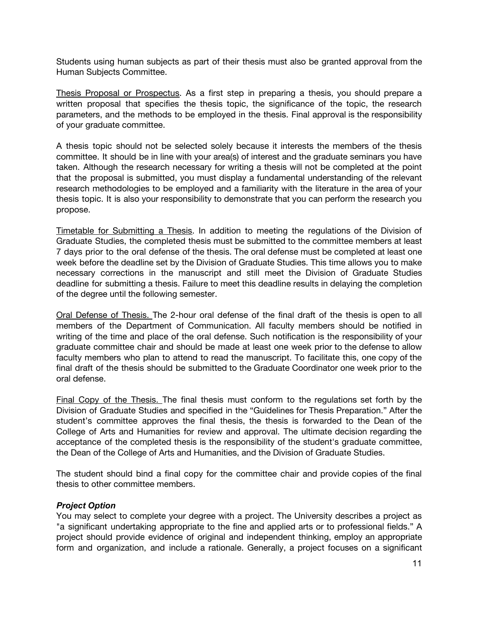Students using human subjects as part of their thesis must also be granted approval from the Human Subjects Committee.

Thesis Proposal or Prospectus. As a first step in preparing a thesis, you should prepare a written proposal that specifies the thesis topic, the significance of the topic, the research parameters, and the methods to be employed in the thesis. Final approval is the responsibility of your graduate committee.

A thesis topic should not be selected solely because it interests the members of the thesis committee. It should be in line with your area(s) of interest and the graduate seminars you have taken. Although the research necessary for writing a thesis will not be completed at the point that the proposal is submitted, you must display a fundamental understanding of the relevant research methodologies to be employed and a familiarity with the literature in the area of your thesis topic. It is also your responsibility to demonstrate that you can perform the research you propose.

Timetable for Submitting a Thesis. In addition to meeting the regulations of the Division of Graduate Studies, the completed thesis must be submitted to the committee members at least 7 days prior to the oral defense of the thesis. The oral defense must be completed at least one week before the deadline set by the Division of Graduate Studies. This time allows you to make necessary corrections in the manuscript and still meet the Division of Graduate Studies deadline for submitting a thesis. Failure to meet this deadline results in delaying the completion of the degree until the following semester.

Oral Defense of Thesis. The 2-hour oral defense of the final draft of the thesis is open to all members of the Department of Communication. All faculty members should be notified in writing of the time and place of the oral defense. Such notification is the responsibility of your graduate committee chair and should be made at least one week prior to the defense to allow faculty members who plan to attend to read the manuscript. To facilitate this, one copy of the final draft of the thesis should be submitted to the Graduate Coordinator one week prior to the oral defense.

Final Copy of the Thesis. The final thesis must conform to the regulations set forth by the Division of Graduate Studies and specified in the "Guidelines for Thesis Preparation." After the student's committee approves the final thesis, the thesis is forwarded to the Dean of the College of Arts and Humanities for review and approval. The ultimate decision regarding the acceptance of the completed thesis is the responsibility of the student's graduate committee, the Dean of the College of Arts and Humanities, and the Division of Graduate Studies.

The student should bind a final copy for the committee chair and provide copies of the final thesis to other committee members.

#### <span id="page-10-0"></span>*Project Option*

You may select to complete your degree with a project. The University describes a project as "a significant undertaking appropriate to the fine and applied arts or to professional fields." A project should provide evidence of original and independent thinking, employ an appropriate form and organization, and include a rationale. Generally, a project focuses on a significant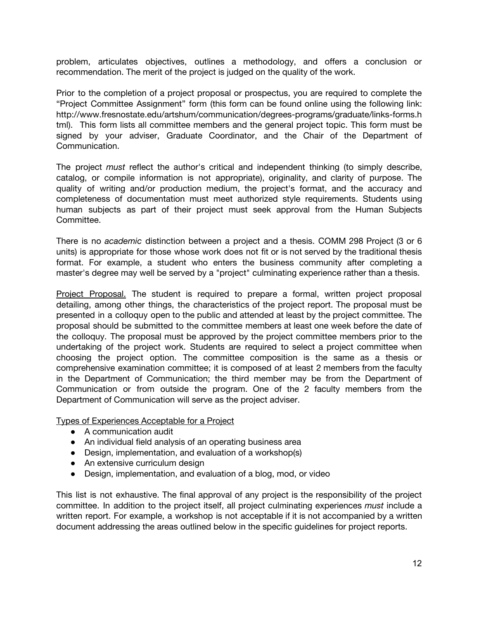problem, articulates objectives, outlines a methodology, and offers a conclusion or recommendation. The merit of the project is judged on the quality of the work.

Prior to the completion of a project proposal or prospectus, you are required to complete the "Project Committee Assignment" form (this form can be found online using the following link: http://www.fresnostate.edu/artshum/communication/degrees-programs/graduate/links-forms.h tml). This form lists all committee members and the general project topic. This form must be signed by your adviser, Graduate Coordinator, and the Chair of the Department of Communication.

The project *must* reflect the author's critical and independent thinking (to simply describe, catalog, or compile information is not appropriate), originality, and clarity of purpose. The quality of writing and/or production medium, the project's format, and the accuracy and completeness of documentation must meet authorized style requirements. Students using human subjects as part of their project must seek approval from the Human Subjects Committee.

There is no *academic* distinction between a project and a thesis. COMM 298 Project (3 or 6 units) is appropriate for those whose work does not fit or is not served by the traditional thesis format. For example, a student who enters the business community after completing a master's degree may well be served by a "project" culminating experience rather than a thesis.

Project Proposal. The student is required to prepare a formal, written project proposal detailing, among other things, the characteristics of the project report. The proposal must be presented in a colloquy open to the public and attended at least by the project committee. The proposal should be submitted to the committee members at least one week before the date of the colloquy. The proposal must be approved by the project committee members prior to the undertaking of the project work. Students are required to select a project committee when choosing the project option. The committee composition is the same as a thesis or comprehensive examination committee; it is composed of at least 2 members from the faculty in the Department of Communication; the third member may be from the Department of Communication or from outside the program. One of the 2 faculty members from the Department of Communication will serve as the project adviser.

Types of Experiences Acceptable for a Project

- A communication audit
- An individual field analysis of an operating business area
- Design, implementation, and evaluation of a workshop(s)
- An extensive curriculum design
- Design, implementation, and evaluation of a blog, mod, or video

This list is not exhaustive. The final approval of any project is the responsibility of the project committee. In addition to the project itself, all project culminating experiences *must* include a written report. For example, a workshop is not acceptable if it is not accompanied by a written document addressing the areas outlined below in the specific guidelines for project reports.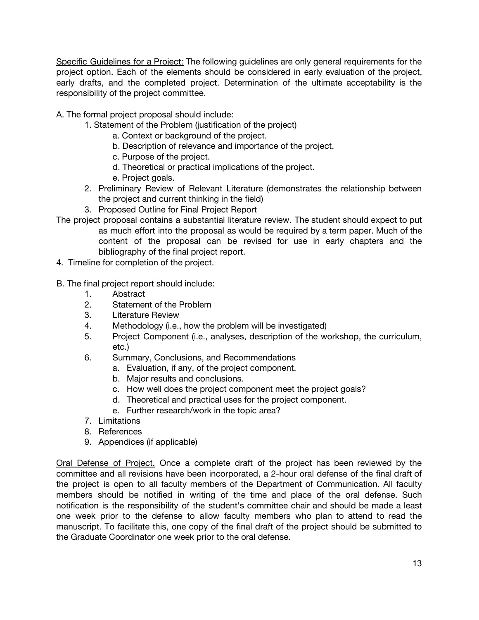Specific Guidelines for a Project: The following guidelines are only general requirements for the project option. Each of the elements should be considered in early evaluation of the project, early drafts, and the completed project. Determination of the ultimate acceptability is the responsibility of the project committee.

A. The formal project proposal should include:

- 1. Statement of the Problem (justification of the project)
	- a. Context or background of the project.
	- b. Description of relevance and importance of the project.
	- c. Purpose of the project.
	- d. Theoretical or practical implications of the project.
	- e. Project goals.
- 2. Preliminary Review of Relevant Literature (demonstrates the relationship between the project and current thinking in the field)
- 3. Proposed Outline for Final Project Report
- The project proposal contains a substantial literature review. The student should expect to put as much effort into the proposal as would be required by a term paper. Much of the content of the proposal can be revised for use in early chapters and the bibliography of the final project report.
- 4. Timeline for completion of the project.

#### B. The final project report should include:

- 1. Abstract
- 2. Statement of the Problem
- 3. Literature Review
- 4. Methodology (i.e., how the problem will be investigated)
- 5. Project Component (i.e., analyses, description of the workshop, the curriculum, etc.)
- 6. Summary, Conclusions, and Recommendations
	- a. Evaluation, if any, of the project component.
	- b. Major results and conclusions.
	- c. How well does the project component meet the project goals?
	- d. Theoretical and practical uses for the project component.
	- e. Further research/work in the topic area?
- 7. Limitations
- 8. References
- 9. Appendices (if applicable)

Oral Defense of Project. Once a complete draft of the project has been reviewed by the committee and all revisions have been incorporated, a 2-hour oral defense of the final draft of the project is open to all faculty members of the Department of Communication. All faculty members should be notified in writing of the time and place of the oral defense. Such notification is the responsibility of the student's committee chair and should be made a least one week prior to the defense to allow faculty members who plan to attend to read the manuscript. To facilitate this, one copy of the final draft of the project should be submitted to the Graduate Coordinator one week prior to the oral defense.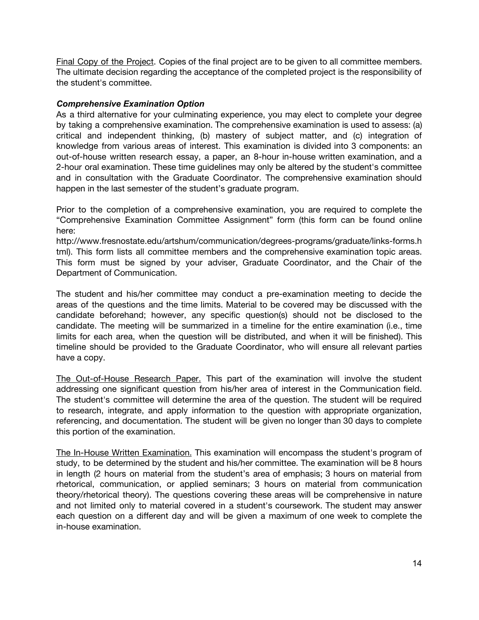Final Copy of the Project. Copies of the final project are to be given to all committee members. The ultimate decision regarding the acceptance of the completed project is the responsibility of the student's committee.

#### <span id="page-13-0"></span>*Comprehensive Examination Option*

As a third alternative for your culminating experience, you may elect to complete your degree by taking a comprehensive examination. The comprehensive examination is used to assess: (a) critical and independent thinking, (b) mastery of subject matter, and (c) integration of knowledge from various areas of interest. This examination is divided into 3 components: an out-of-house written research essay, a paper, an 8-hour in-house written examination, and a 2-hour oral examination. These time guidelines may only be altered by the student's committee and in consultation with the Graduate Coordinator. The comprehensive examination should happen in the last semester of the student's graduate program.

Prior to the completion of a comprehensive examination, you are required to complete the "Comprehensive Examination Committee Assignment" form (this form can be found online here:

http://www.fresnostate.edu/artshum/communication/degrees-programs/graduate/links-forms.h tml). This form lists all committee members and the comprehensive examination topic areas. This form must be signed by your adviser, Graduate Coordinator, and the Chair of the Department of Communication.

The student and his/her committee may conduct a pre-examination meeting to decide the areas of the questions and the time limits. Material to be covered may be discussed with the candidate beforehand; however, any specific question(s) should not be disclosed to the candidate. The meeting will be summarized in a timeline for the entire examination (i.e., time limits for each area, when the question will be distributed, and when it will be finished). This timeline should be provided to the Graduate Coordinator, who will ensure all relevant parties have a copy.

The Out-of-House Research Paper. This part of the examination will involve the student addressing one significant question from his/her area of interest in the Communication field. The student's committee will determine the area of the question. The student will be required to research, integrate, and apply information to the question with appropriate organization, referencing, and documentation. The student will be given no longer than 30 days to complete this portion of the examination.

The In-House Written Examination. This examination will encompass the student's program of study, to be determined by the student and his/her committee. The examination will be 8 hours in length (2 hours on material from the student's area of emphasis; 3 hours on material from rhetorical, communication, or applied seminars; 3 hours on material from communication theory/rhetorical theory). The questions covering these areas will be comprehensive in nature and not limited only to material covered in a student's coursework. The student may answer each question on a different day and will be given a maximum of one week to complete the in-house examination.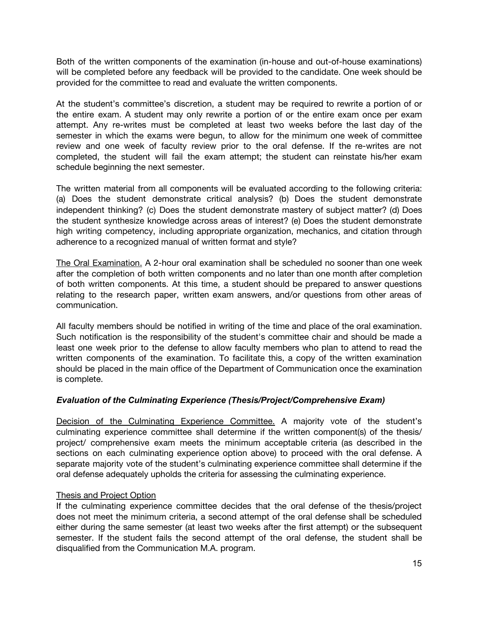Both of the written components of the examination (in-house and out-of-house examinations) will be completed before any feedback will be provided to the candidate. One week should be provided for the committee to read and evaluate the written components.

At the student's committee's discretion, a student may be required to rewrite a portion of or the entire exam. A student may only rewrite a portion of or the entire exam once per exam attempt. Any re-writes must be completed at least two weeks before the last day of the semester in which the exams were begun, to allow for the minimum one week of committee review and one week of faculty review prior to the oral defense. If the re-writes are not completed, the student will fail the exam attempt; the student can reinstate his/her exam schedule beginning the next semester.

The written material from all components will be evaluated according to the following criteria: (a) Does the student demonstrate critical analysis? (b) Does the student demonstrate independent thinking? (c) Does the student demonstrate mastery of subject matter? (d) Does the student synthesize knowledge across areas of interest? (e) Does the student demonstrate high writing competency, including appropriate organization, mechanics, and citation through adherence to a recognized manual of written format and style?

The Oral Examination. A 2-hour oral examination shall be scheduled no sooner than one week after the completion of both written components and no later than one month after completion of both written components. At this time, a student should be prepared to answer questions relating to the research paper, written exam answers, and/or questions from other areas of communication.

All faculty members should be notified in writing of the time and place of the oral examination. Such notification is the responsibility of the student's committee chair and should be made a least one week prior to the defense to allow faculty members who plan to attend to read the written components of the examination. To facilitate this, a copy of the written examination should be placed in the main office of the Department of Communication once the examination is complete.

#### <span id="page-14-0"></span>*Evaluation of the Culminating Experience (Thesis/Project/Comprehensive Exam)*

Decision of the Culminating Experience Committee. A majority vote of the student's culminating experience committee shall determine if the written component(s) of the thesis/ project/ comprehensive exam meets the minimum acceptable criteria (as described in the sections on each culminating experience option above) to proceed with the oral defense. A separate majority vote of the student's culminating experience committee shall determine if the oral defense adequately upholds the criteria for assessing the culminating experience.

#### Thesis and Project Option

If the culminating experience committee decides that the oral defense of the thesis/project does not meet the minimum criteria, a second attempt of the oral defense shall be scheduled either during the same semester (at least two weeks after the first attempt) or the subsequent semester. If the student fails the second attempt of the oral defense, the student shall be disqualified from the Communication M.A. program.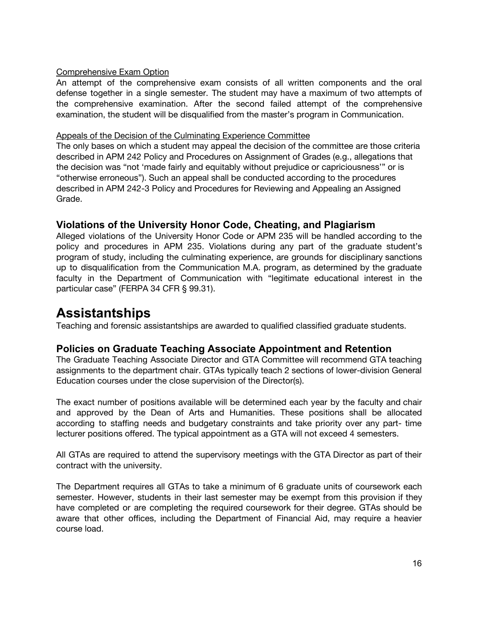#### Comprehensive Exam Option

An attempt of the comprehensive exam consists of all written components and the oral defense together in a single semester. The student may have a maximum of two attempts of the comprehensive examination. After the second failed attempt of the comprehensive examination, the student will be disqualified from the master's program in Communication.

#### Appeals of the Decision of the Culminating Experience Committee

The only bases on which a student may appeal the decision of the committee are those criteria described in APM 242 Policy and Procedures on Assignment of Grades (e.g., allegations that the decision was "not 'made fairly and equitably without prejudice or capriciousness'" or is "otherwise erroneous"). Such an appeal shall be conducted according to the procedures described in APM 242-3 Policy and Procedures for Reviewing and Appealing an Assigned Grade.

#### <span id="page-15-0"></span>**Violations of the University Honor Code, Cheating, and Plagiarism**

Alleged violations of the University Honor Code or APM 235 will be handled according to the policy and procedures in APM 235. Violations during any part of the graduate student's program of study, including the culminating experience, are grounds for disciplinary sanctions up to disqualification from the Communication M.A. program, as determined by the graduate faculty in the Department of Communication with "legitimate educational interest in the particular case" (FERPA 34 CFR § 99.31).

### <span id="page-15-1"></span>**Assistantships**

Teaching and forensic assistantships are awarded to qualified classified graduate students.

#### <span id="page-15-2"></span>**Policies on Graduate Teaching Associate Appointment and Retention**

The Graduate Teaching Associate Director and GTA Committee will recommend GTA teaching assignments to the department chair. GTAs typically teach 2 sections of lower-division General Education courses under the close supervision of the Director(s).

The exact number of positions available will be determined each year by the faculty and chair and approved by the Dean of Arts and Humanities. These positions shall be allocated according to staffing needs and budgetary constraints and take priority over any part- time lecturer positions offered. The typical appointment as a GTA will not exceed 4 semesters.

All GTAs are required to attend the supervisory meetings with the GTA Director as part of their contract with the university.

The Department requires all GTAs to take a minimum of 6 graduate units of coursework each semester. However, students in their last semester may be exempt from this provision if they have completed or are completing the required coursework for their degree. GTAs should be aware that other offices, including the Department of Financial Aid, may require a heavier course load.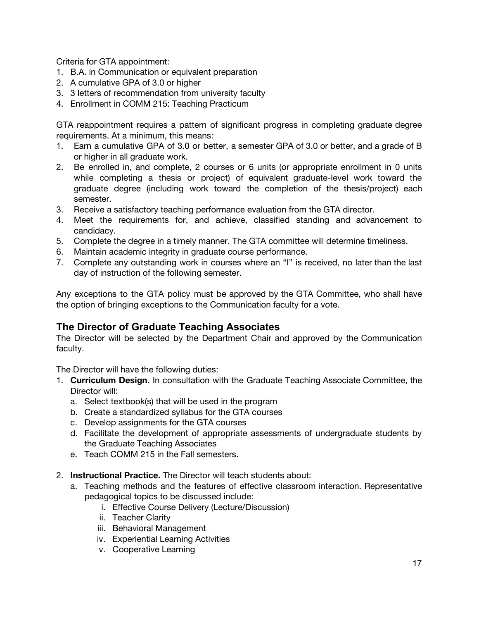Criteria for GTA appointment:

- 1. B.A. in Communication or equivalent preparation
- 2. A cumulative GPA of 3.0 or higher
- 3. 3 letters of recommendation from university faculty
- 4. Enrollment in COMM 215: Teaching Practicum

GTA reappointment requires a pattern of significant progress in completing graduate degree requirements. At a minimum, this means:

- 1. Earn a cumulative GPA of 3.0 or better, a semester GPA of 3.0 or better, and a grade of B or higher in all graduate work.
- 2. Be enrolled in, and complete, 2 courses or 6 units (or appropriate enrollment in 0 units while completing a thesis or project) of equivalent graduate-level work toward the graduate degree (including work toward the completion of the thesis/project) each semester.
- 3. Receive a satisfactory teaching performance evaluation from the GTA director.
- 4. Meet the requirements for, and achieve, classified standing and advancement to candidacy.
- 5. Complete the degree in a timely manner. The GTA committee will determine timeliness.
- 6. Maintain academic integrity in graduate course performance.
- 7. Complete any outstanding work in courses where an "I" is received, no later than the last day of instruction of the following semester.

Any exceptions to the GTA policy must be approved by the GTA Committee, who shall have the option of bringing exceptions to the Communication faculty for a vote.

#### <span id="page-16-0"></span>**The Director of Graduate Teaching Associates**

The Director will be selected by the Department Chair and approved by the Communication faculty.

The Director will have the following duties:

- 1. **Curriculum Design.** In consultation with the Graduate Teaching Associate Committee, the Director will:
	- a. Select textbook(s) that will be used in the program
	- b. Create a standardized syllabus for the GTA courses
	- c. Develop assignments for the GTA courses
	- d. Facilitate the development of appropriate assessments of undergraduate students by the Graduate Teaching Associates
	- e. Teach COMM 215 in the Fall semesters.
- 2. **Instructional Practice.** The Director will teach students about:
	- a. Teaching methods and the features of effective classroom interaction. Representative pedagogical topics to be discussed include:
		- i. Effective Course Delivery (Lecture/Discussion)
		- ii. Teacher Clarity
		- iii. Behavioral Management
		- iv. Experiential Learning Activities
		- v. Cooperative Learning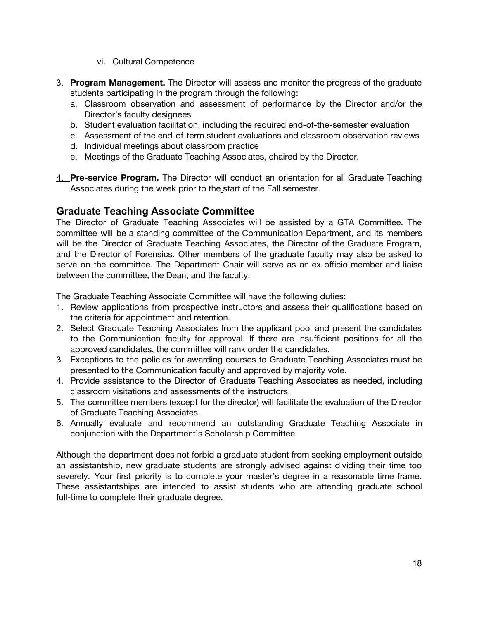- vi. Cultural Competence
- 3. **Program Management.** The Director will assess and monitor the progress of the graduate students participating in the program through the following:
	- a. Classroom observation and assessment of performance by the Director and/or the Director's faculty designees
	- b. Student evaluation facilitation, including the required end-of-the-semester evaluation
	- c. Assessment of the end-of-term student evaluations and classroom observation reviews
	- d. Individual meetings about classroom practice
	- e. Meetings of the Graduate Teaching Associates, chaired by the Director.
- 4. **Pre-service Program.** The Director will conduct an orientation for all Graduate Teaching Associates during the week prior to the start of the Fall semester.

#### <span id="page-17-0"></span>**Graduate Teaching Associate Committee**

The Director of Graduate Teaching Associates will be assisted by a GTA Committee. The committee will be a standing committee of the Communication Department, and its members will be the Director of Graduate Teaching Associates, the Director of the Graduate Program, and the Director of Forensics. Other members of the graduate faculty may also be asked to serve on the committee. The Department Chair will serve as an ex-officio member and liaise between the committee, the Dean, and the faculty.

The Graduate Teaching Associate Committee will have the following duties:

- 1. Review applications from prospective instructors and assess their qualifications based on the criteria for appointment and retention.
- 2. Select Graduate Teaching Associates from the applicant pool and present the candidates to the Communication faculty for approval. If there are insufficient positions for all the approved candidates, the committee will rank order the candidates.
- 3. Exceptions to the policies for awarding courses to Graduate Teaching Associates must be presented to the Communication faculty and approved by majority vote.
- 4. Provide assistance to the Director of Graduate Teaching Associates as needed, including classroom visitations and assessments of the instructors.
- 5. The committee members (except for the director) will facilitate the evaluation of the Director of Graduate Teaching Associates.
- 6. Annually evaluate and recommend an outstanding Graduate Teaching Associate in conjunction with the Department's Scholarship Committee.

Although the department does not forbid a graduate student from seeking employment outside an assistantship, new graduate students are strongly advised against dividing their time too severely. Your first priority is to complete your master's degree in a reasonable time frame. These assistantships are intended to assist students who are attending graduate school full-time to complete their graduate degree.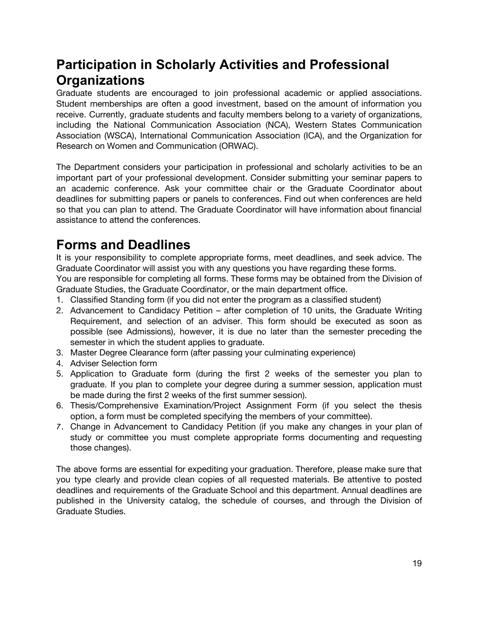# <span id="page-18-0"></span>**Participation in Scholarly Activities and Professional Organizations**

Graduate students are encouraged to join professional academic or applied associations. Student memberships are often a good investment, based on the amount of information you receive. Currently, graduate students and faculty members belong to a variety of organizations, including the National Communication Association (NCA), Western States Communication Association (WSCA), International Communication Association (ICA), and the Organization for Research on Women and Communication (ORWAC).

The Department considers your participation in professional and scholarly activities to be an important part of your professional development. Consider submitting your seminar papers to an academic conference. Ask your committee chair or the Graduate Coordinator about deadlines for submitting papers or panels to conferences. Find out when conferences are held so that you can plan to attend. The Graduate Coordinator will have information about financial assistance to attend the conferences.

# <span id="page-18-1"></span>**Forms and Deadlines**

It is your responsibility to complete appropriate forms, meet deadlines, and seek advice. The Graduate Coordinator will assist you with any questions you have regarding these forms.

You are responsible for completing all forms. These forms may be obtained from the Division of Graduate Studies, the Graduate Coordinator, or the main department office.

- 1. Classified Standing form (if you did not enter the program as a classified student)
- 2. Advancement to Candidacy Petition after completion of 10 units, the Graduate Writing Requirement, and selection of an adviser. This form should be executed as soon as possible (see Admissions), however, it is due no later than the semester preceding the semester in which the student applies to graduate.
- 3. Master Degree Clearance form (after passing your culminating experience)
- 4. Adviser Selection form
- 5. Application to Graduate form (during the first 2 weeks of the semester you plan to graduate. If you plan to complete your degree during a summer session, application must be made during the first 2 weeks of the first summer session).
- 6. Thesis/Comprehensive Examination/Project Assignment Form (if you select the thesis option, a form must be completed specifying the members of your committee).
- 7. Change in Advancement to Candidacy Petition (if you make any changes in your plan of study or committee you must complete appropriate forms documenting and requesting those changes).

The above forms are essential for expediting your graduation. Therefore, please make sure that you type clearly and provide clean copies of all requested materials. Be attentive to posted deadlines and requirements of the Graduate School and this department. Annual deadlines are published in the University catalog, the schedule of courses, and through the Division of Graduate Studies.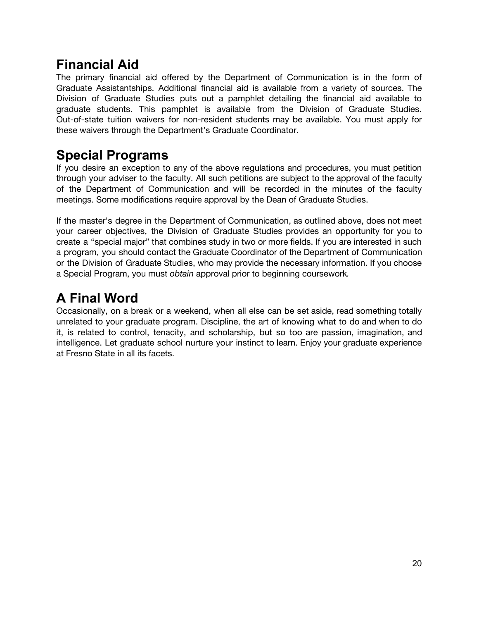# <span id="page-19-0"></span>**Financial Aid**

The primary financial aid offered by the Department of Communication is in the form of Graduate Assistantships. Additional financial aid is available from a variety of sources. The Division of Graduate Studies puts out a pamphlet detailing the financial aid available to graduate students. This pamphlet is available from the Division of Graduate Studies. Out-of-state tuition waivers for non-resident students may be available. You must apply for these waivers through the Department's Graduate Coordinator.

# <span id="page-19-1"></span>**Special Programs**

If you desire an exception to any of the above regulations and procedures, you must petition through your adviser to the faculty. All such petitions are subject to the approval of the faculty of the Department of Communication and will be recorded in the minutes of the faculty meetings. Some modifications require approval by the Dean of Graduate Studies.

If the master's degree in the Department of Communication, as outlined above, does not meet your career objectives, the Division of Graduate Studies provides an opportunity for you to create a "special major" that combines study in two or more fields. If you are interested in such a program, you should contact the Graduate Coordinator of the Department of Communication or the Division of Graduate Studies, who may provide the necessary information. If you choose a Special Program, you must *obtain* approval prior to beginning coursework*.*

# <span id="page-19-2"></span>**A Final Word**

Occasionally, on a break or a weekend, when all else can be set aside, read something totally unrelated to your graduate program. Discipline, the art of knowing what to do and when to do it, is related to control, tenacity, and scholarship, but so too are passion, imagination, and intelligence. Let graduate school nurture your instinct to learn. Enjoy your graduate experience at Fresno State in all its facets.